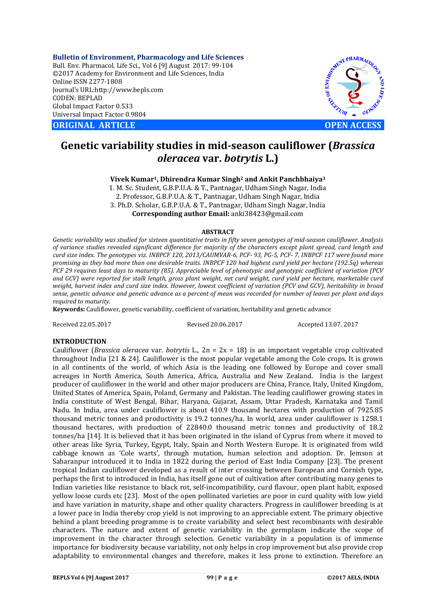**Bulletin of Environment, Pharmacology and Life Sciences** Bull. Env. Pharmacol. Life Sci., Vol 6 [9] August 2017: 99-104 ©2017 Academy for Environment and Life Sciences, India Online ISSN 2277-1808 Journal's URL:http://www.bepls.com CODEN: BEPLAD Global Impact Factor 0.533 Universal Impact Factor 0.9804

**CORIGINAL ARTICLE CONSUMING ARTICLE CONSUMING A REPORT OF A LIGHT AND A REPORT OF A LIGHT AND A LIGHT AND A LIGHT AND A LIGHT AND A LIGHT AND A LIGHT AND A LIGHT AND A LIGHT AND A LIGHT AND A LIGHT AND A LIGHT AND A L** 



# **Genetic variability studies in mid-season cauliflower (***Brassica oleracea* **var.** *botrytis* **L.)**

**Vivek Kumar1, Dhirendra Kumar Singh2 and Ankit Panchbhaiya3**

1. M. Sc. Student, G.B.P.U.A. & T., Pantnagar, Udham Singh Nagar, India 2. Professor, G.B.P.U.A. & T., Pantnagar, Udham Singh Nagar, India 3. Ph.D. Scholar, G.B.P.U.A. & T., Pantnagar, Udham Singh Nagar, India **Corresponding author Email:** anki38423@gmail.com

### **ABSTRACT**

*Genetic variability was studied for sixteen quantitative traits in fifty seven genotypes of mid-season cauliflower. Analysis of variance studies revealed significant difference for majority of the characters except plant spread, curd length and curd size index. The genotypes viz. INBPCF 120, 2013/CAUMVAR-6, PCF- 93, PG-5, PCF- 7, INBPCF 117 were found more promising as they had more than one desirable traits. INBPCF 120 had highest curd yield per hectare (192.5q) whereas PCF 29 requires least days to maturity (85). Appreciable level of phenotypic and genotypic coefficient of variation (PCV and GCV) were reported for stalk length, gross plant weight, net curd weight, curd yield per hectare, marketable curd weight, harvest index and curd size index. However, lowest coefficient of variation (PCV and GCV), heritability in broad sense, genetic advance and genetic advance as a percent of mean was recorded for number of leaves per plant and days required to maturity.*

**Keywords:** Cauliflower, genetic variability, coefficient of variation, heritability and genetic advance

Received 22.05.2017 Revised 20.06.2017 Accepted 13.07. 2017

## **INTRODUCTION**

Cauliflower (*Brassica oleracea* var*. botrytis* L., 2n = 2x = 18) is an important vegetable crop cultivated throughout India [21 & 24]. Cauliflower is the most popular vegetable among the Cole crops. It is grown in all continents of the world, of which Asia is the leading one followed by Europe and cover small acreages in North America, South America, Africa, Australia and New Zealand. India is the largest producer of cauliflower in the world and other major producers are China, France, Italy, United Kingdom, United States of America, Spain, Poland, Germany and Pakistan. The leading cauliflower growing states in India constitute of West Bengal, Bihar, Haryana, Gujarat, Assam, Uttar Pradesh, Karnataka and Tamil Nadu. In India, area under cauliflower is about 410.9 thousand hectares with production of 7925.85 thousand metric tonnes and productivity is 19.2 tonnes/ha. In world, area under cauliflower is 1258.1 thousand hectares, with production of 22840.0 thousand metric tonnes and productivity of 18.2 tonnes/ha [14]. It is believed that it has been originated in the island of Cyprus from where it moved to other areas like Syria, Turkey, Egypt, Italy, Spain and North Western Europe. It is originated from wild cabbage known as 'Cole warts', through mutation, human selection and adoption. Dr. Jemson at Saharanpur introduced it to India in 1822 during the period of East India Company [23]. The present tropical Indian cauliflower developed as a result of inter crossing between European and Cornish type, perhaps the first to introduced in India, has itself gone out of cultivation after contributing many genes to Indian varieties like resistance to black rot, self-incompatibility, curd flavour, open plant habit, exposed yellow loose curds etc [23]. Most of the open pollinated varieties are poor in curd quality with low yield and have variation in maturity, shape and other quality characters. Progress in cauliflower breeding is at a lower pace in India thereby crop yield is not improving to an appreciable extent. The primary objective behind a plant breeding programme is to create variability and select best recombinants with desirable characters. The nature and extent of genetic variability in the germplasm indicate the scope of improvement in the character through selection. Genetic variability in a population is of immense importance for biodiversity because variability, not only helps in crop improvement but also provide crop adaptability to environmental changes and therefore, makes it less prone to extinction. Therefore an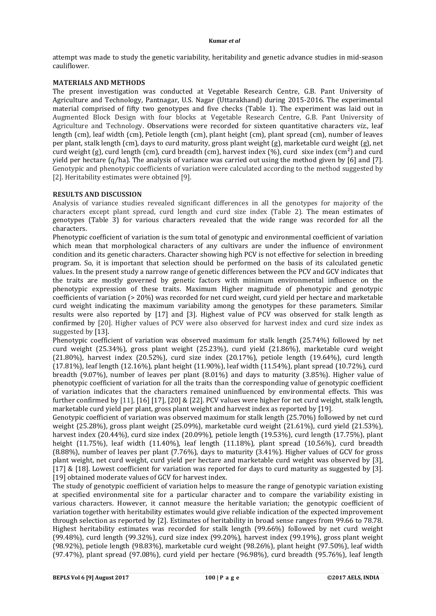attempt was made to study the genetic variability, heritability and genetic advance studies in mid-season cauliflower.

# **MATERIALS AND METHODS**

The present investigation was conducted at Vegetable Research Centre, G.B. Pant University of Agriculture and Technology, Pantnagar, U.S. Nagar (Uttarakhand) during 2015-2016. The experimental material comprised of fifty two genotypes and five checks (Table 1). The experiment was laid out in Augmented Block Design with four blocks at Vegetable Research Centre, G.B. Pant University of Agriculture and Technology. Observations were recorded for sixteen quantitative characters *viz*., leaf length (cm), leaf width (cm), Petiole length (cm), plant height (cm), plant spread (cm), number of leaves per plant, stalk length (cm), days to curd maturity, gross plant weight (g), marketable curd weight (g), net curd weight (g), curd length (cm), curd breadth (cm), harvest index (%), curd sixe index  $\text{(cm}^2\text{)}$  and curd yield per hectare (q/ha). The analysis of variance was carried out using the method given by [6] and [7]. Genotypic and phenotypic coefficients of variation were calculated according to the method suggested by [2]. Heritability estimates were obtained [9].

# **RESULTS AND DISCUSSION**

Analysis of variance studies revealed significant differences in all the genotypes for majority of the characters except plant spread, curd length and curd size index (Table 2). The mean estimates of genotypes (Table 3) for various characters revealed that the wide range was recorded for all the characters.

Phenotypic coefficient of variation is the sum total of genotypic and environmental coefficient of variation which mean that morphological characters of any cultivars are under the influence of environment condition and its genetic characters. Character showing high PCV is not effective for selection in breeding program. So, it is important that selection should be performed on the basis of its calculated genetic values. In the present study a narrow range of genetic differences between the PCV and GCV indicates that the traits are mostly governed by genetic factors with minimum environmental influence on the phenotypic expression of these traits. Maximum Higher magnitude of phenotypic and genotypic coefficients of variation (> 20%) was recorded for net curd weight, curd yield per hectare and marketable curd weight indicating the maximum variability among the genotypes for these parameters. Similar results were also reported by [17] and [3]. Highest value of PCV was observed for stalk length as confirmed by [20]. Higher values of PCV were also observed for harvest index and curd size index as suggested by [13].

Phenotypic coefficient of variation was observed maximum for stalk length (25.74%) followed by net curd weight (25.34%), gross plant weight (25.23%), curd yield (21.86%), marketable curd weight (21.80%), harvest index (20.52%), curd size index (20.17%), petiole length (19.64%), curd length (17.81%), leaf length (12.16%), plant height (11.90%), leaf width (11.54%), plant spread (10.72%), curd breadth (9.07%), number of leaves per plant (8.01%) and days to maturity (3.85%). Higher value of phenotypic coefficient of variation for all the traits than the corresponding value of genotypic coefficient of variation indicates that the characters remained uninfluenced by environmental effects. This was further confirmed by [11], [16] [17], [20] & [22]. PCV values were higher for net curd weight, stalk length, marketable curd yield per plant, gross plant weight and harvest index as reported by [19].

Genotypic coefficient of variation was observed maximum for stalk length (25.70%) followed by net curd weight (25.28%), gross plant weight (25.09%), marketable curd weight (21.61%), curd yield (21.53%), harvest index (20.44%), curd size index (20.09%), petiole length (19.53%), curd length (17.75%), plant height (11.75%), leaf width (11.40%), leaf length (11.18%), plant spread (10.56%), curd breadth (8.88%), number of leaves per plant (7.76%), days to maturity (3.41%). Higher values of GCV for gross plant weight, net curd weight, curd yield per hectare and marketable curd weight was observed by [3], [17] & [18]. Lowest coefficient for variation was reported for days to curd maturity as suggested by [3]. [19] obtained moderate values of GCV for harvest index.

The study of genotypic coefficient of variation helps to measure the range of genotypic variation existing at specified environmental site for a particular character and to compare the variability existing in various characters. However, it cannot measure the heritable variation; the genotypic coefficient of variation together with heritability estimates would give reliable indication of the expected improvement through selection as reported by [2]. Estimates of heritability in broad sense ranges from 99.66 to 78.78. Highest heritability estimates was recorded for stalk length (99.66%) followed by net curd weight (99.48%), curd length (99.32%), curd size index (99.20%), harvest index (99.19%), gross plant weight (98.92%), petiole length (98.83%), marketable curd weight (98.26%), plant height (97.50%), leaf width (97.47%), plant spread (97.08%), curd yield per hectare (96.98%), curd breadth (95.76%), leaf length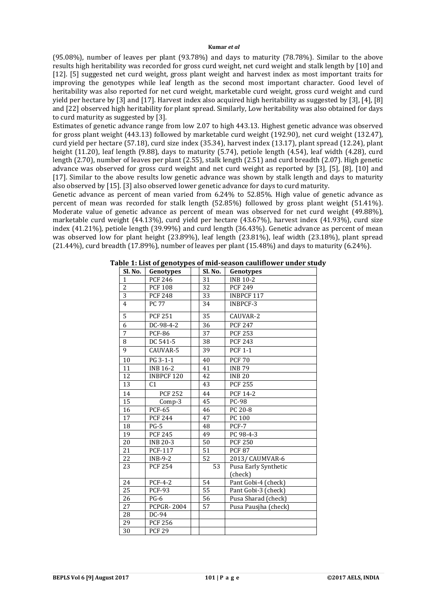(95.08%), number of leaves per plant (93.78%) and days to maturity (78.78%). Similar to the above results high heritability was recorded for gross curd weight, net curd weight and stalk length by [10] and [12]. [5] suggested net curd weight, gross plant weight and harvest index as most important traits for improving the genotypes while leaf length as the second most important character. Good level of heritability was also reported for net curd weight, marketable curd weight, gross curd weight and curd yield per hectare by [3] and [17]. Harvest index also acquired high heritability as suggested by [3], [4], [8] and [22] observed high heritability for plant spread. Similarly, Low heritability was also obtained for days to curd maturity as suggested by [3].

Estimates of genetic advance range from low 2.07 to high 443.13. Highest genetic advance was observed for gross plant weight (443.13) followed by marketable curd weight (192.90), net curd weight (132.47), curd yield per hectare (57.18), curd size index (35.34), harvest index (13.17), plant spread (12.24), plant height (11.20), leaf length (9.88), days to maturity (5.74), petiole length (4.54), leaf width (4.28), curd length (2.70), number of leaves per plant (2.55), stalk length (2.51) and curd breadth (2.07). High genetic advance was observed for gross curd weight and net curd weight as reported by [3], [5], [8], [10] and [17]. Similar to the above results low genetic advance was shown by stalk length and days to maturity also observed by [15]. [3] also observed lower genetic advance for days to curd maturity.

Genetic advance as percent of mean varied from 6.24% to 52.85%. High value of genetic advance as percent of mean was recorded for stalk length (52.85%) followed by gross plant weight (51.41%). Moderate value of genetic advance as percent of mean was observed for net curd weight (49.88%), marketable curd weight (44.13%), curd yield per hectare (43.67%), harvest index (41.93%), curd size index (41.21%), petiole length (39.99%) and curd length (36.43%). Genetic advance as percent of mean was observed low for plant height (23.89%), leaf length (23.81%), leaf width (23.18%), plant spread (21.44%), curd breadth (17.89%), number of leaves per plant (15.48%) and days to maturity (6.24%).

| Sl. No.         | Genotypes         | Sl. No. | Genotypes            |
|-----------------|-------------------|---------|----------------------|
| $\mathbf{1}$    | <b>PCF 246</b>    | 31      | <b>INB 10-2</b>      |
| $\overline{2}$  | <b>PCF 108</b>    | 32      | <b>PCF 249</b>       |
| 3               | <b>PCF 248</b>    | 33      | <b>INBPCF 117</b>    |
| $\overline{4}$  | <b>PC 77</b>      | 34      | INBPCF-3             |
| 5               | <b>PCF 251</b>    | 35      | CAUVAR-2             |
| $\overline{6}$  | DC-98-4-2         | 36      | <b>PCF 247</b>       |
| $\overline{7}$  | <b>PCF-86</b>     | 37      | <b>PCF 253</b>       |
| 8               | DC 541-5          | 38      | <b>PCF 243</b>       |
| 9               | CAUVAR-5          | 39      | <b>PCF 1-1</b>       |
| 10              | PG 3-1-1          | 40      | <b>PCF 70</b>        |
| 11              | <b>INB 16-2</b>   | 41      | <b>INB79</b>         |
| 12              | <b>INBPCF 120</b> | 42      | <b>INB 20</b>        |
| 13              | C <sub>1</sub>    | 43      | <b>PCF 255</b>       |
| 14              | <b>PCF 252</b>    | 44      | PCF 14-2             |
| 15              | Comp-3            | 45      | <b>PC-98</b>         |
| 16              | <b>PCF-65</b>     | 46      | PC 20-8              |
| 17              | <b>PCF 244</b>    | 47      | PC 100               |
| 18              | $PG-5$            | 48      | PCF-7                |
| 19              | <b>PCF 245</b>    | 49      | PC 98-4-3            |
| $20\,$          | <b>INB 20-3</b>   | 50      | <b>PCF 250</b>       |
| 21              | <b>PCF-117</b>    | 51      | <b>PCF 87</b>        |
| 22              | $INB-9-2$         | 52      | 2013/ CAUMVAR-6      |
| 23              | <b>PCF 254</b>    | 53      | Pusa Early Synthetic |
|                 |                   |         | (check)              |
| 24              | $PCF-4-2$         | 54      | Pant Gobi-4 (check)  |
| 25              | <b>PCF-93</b>     | 55      | Pant Gobi-3 (check)  |
| 26              | $PG-6$            | 56      | Pusa Sharad (check)  |
| 27              | <b>PCPGR-2004</b> | 57      | Pusa Pausiha (check) |
| 28              | DC-94             |         |                      |
| 29              | <b>PCF 256</b>    |         |                      |
| $\overline{30}$ | <b>PCF 29</b>     |         |                      |

**Table 1: List of genotypes of mid-season cauliflower under study**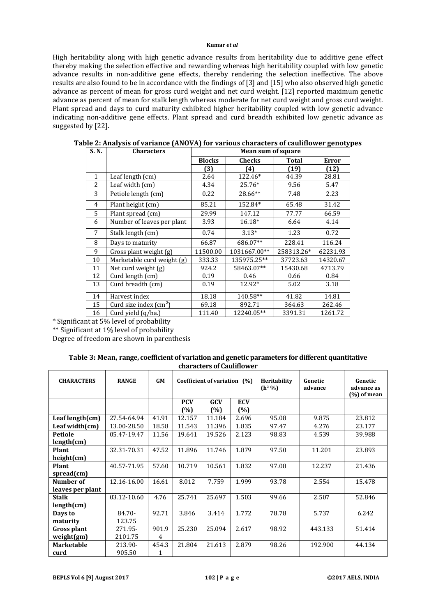High heritability along with high genetic advance results from heritability due to additive gene effect thereby making the selection effective and rewarding whereas high heritability coupled with low genetic advance results in non-additive gene effects, thereby rendering the selection ineffective. The above results are also found to be in accordance with the findings of [3] and [15] who also observed high genetic advance as percent of mean for gross curd weight and net curd weight. [12] reported maximum genetic advance as percent of mean for stalk length whereas moderate for net curd weight and gross curd weight. Plant spread and days to curd maturity exhibited higher heritability coupled with low genetic advance indicating non-additive gene effects. Plant spread and curd breadth exhibited low genetic advance as suggested by [22].

| S.N.         | <b>Characters</b>               | <b>Mean sum of square</b> |                  |            |              |  |  |  |
|--------------|---------------------------------|---------------------------|------------------|------------|--------------|--|--|--|
|              |                                 | <b>Blocks</b>             | <b>Checks</b>    | Total      | <b>Error</b> |  |  |  |
|              |                                 | (3)                       | (4)              | (19)       | (12)         |  |  |  |
| $\mathbf{1}$ | Leaf length $(cm)$              | 2.64                      | 122.46*<br>44.39 |            | 28.81        |  |  |  |
| 2            | Leaf width (cm)                 | 4.34                      | $25.76*$<br>9.56 |            | 5.47         |  |  |  |
| 3            | Petiole length (cm)             | 0.22                      | 28.66**          | 7.48       | 2.23         |  |  |  |
| 4            | Plant height (cm)               | 85.21                     | 152.84*          | 65.48      | 31.42        |  |  |  |
| 5            | Plant spread (cm)               | 29.99                     | 147.12           | 77.77      |              |  |  |  |
| 6            | Number of leaves per plant      | 3.93                      | $16.18*$         | 6.64       | 4.14         |  |  |  |
| 7            | Stalk length (cm)               | 0.74                      | $3.13*$          | 1.23       | 0.72         |  |  |  |
| 8            | Days to maturity                | 66.87                     | 686.07**         | 228.41     | 116.24       |  |  |  |
| 9            | Gross plant weight (g)          | 11500.00                  | 1031667.00**     | 258313.26* | 62231.93     |  |  |  |
| 10           | Marketable curd weight (g)      | 333.33                    | 135975.25**      | 37723.63   | 14320.67     |  |  |  |
| 11           | Net curd weight (g)             | 924.2                     | 58463.07**       | 15430.68   | 4713.79      |  |  |  |
| 12           | Curd length (cm)                | 0.19                      | 0.46             | 0.66       | 0.84         |  |  |  |
| 13           | Curd breadth (cm)               | 0.19                      |                  | 5.02       | 3.18         |  |  |  |
| 14           | Harvest index                   | 18.18                     | 140.58**         | 41.82      | 14.81        |  |  |  |
| 15           | Curd size index $\text{cm}^2$ ) | 69.18                     | 892.71           | 364.63     | 262.46       |  |  |  |
| 16           | Curd yield (q/ha.)              | 111.40                    | 12240.05**       | 3391.31    | 1261.72      |  |  |  |

| Table 2: Analysis of variance (ANOVA) for various characters of cauliflower genotypes |  |  |  |
|---------------------------------------------------------------------------------------|--|--|--|
|---------------------------------------------------------------------------------------|--|--|--|

\* Significant at 5% level of probability

\*\* Significant at 1% level of probability

Degree of freedom are shown in parenthesis

| Table 3: Mean, range, coefficient of variation and genetic parameters for different quantitative |  |
|--------------------------------------------------------------------------------------------------|--|
| characters of Cauliflower                                                                        |  |

| <b>CHARACTERS</b>             | <b>RANGE</b>       | <b>GM</b>  |                   | Coefficient of variation (%) |                   | Heritability<br>(h <sup>2</sup> %) | Genetic<br>advance | Genetic<br>advance as<br>$(\%)$ of mean |
|-------------------------------|--------------------|------------|-------------------|------------------------------|-------------------|------------------------------------|--------------------|-----------------------------------------|
|                               |                    |            | <b>PCV</b><br>(%) | GCV<br>(%)                   | <b>ECV</b><br>(%) |                                    |                    |                                         |
| Leaf length $(cm)$            | 27.54-64.94        | 41.91      | 12.157            | 11.184                       | 2.696             | 95.08                              | 9.875              | 23.812                                  |
| Leaf width $(cm)$             | 13.00-28.50        | 18.58      | 11.543            | 11.396                       | 1.835             | 97.47                              | 4.276              | 23.177                                  |
| <b>Petiole</b><br>length(cm)  | 05.47-19.47        | 11.56      | 19.641            | 19.526                       | 2.123             | 98.83                              | 4.539              | 39.988                                  |
| Plant<br>height(cm)           | 32.31-70.31        | 47.52      | 11.896            | 11.746                       | 1.879             | 97.50                              | 11.201             | 23.893                                  |
| Plant<br>$spread$ (cm)        | 40.57-71.95        | 57.60      | 10.719            | 10.561                       | 1.832             | 97.08                              | 12.237             | 21.436                                  |
| Number of<br>leaves per plant | 12.16-16.00        | 16.61      | 8.012             | 7.759                        | 1.999             | 93.78                              | 2.554              | 15.478                                  |
| <b>Stalk</b><br>length(cm)    | 03.12-10.60        | 4.76       | 25.741            | 25.697                       | 1.503             | 99.66                              | 2.507              | 52.846                                  |
| Days to<br>maturity           | 84.70-<br>123.75   | 92.71      | 3.846             | 3.414                        | 1.772             | 78.78                              | 5.737              | 6.242                                   |
| Gross plant<br>weight(gm)     | 271.95-<br>2101.75 | 901.9<br>4 | 25.230            | 25.094                       | 2.617             | 98.92                              | 443.133            | 51.414                                  |
| <b>Marketable</b><br>curd     | 213.90-<br>905.50  | 454.3<br>1 | 21.804            | 21.613                       | 2.879             | 98.26                              | 192.900            | 44.134                                  |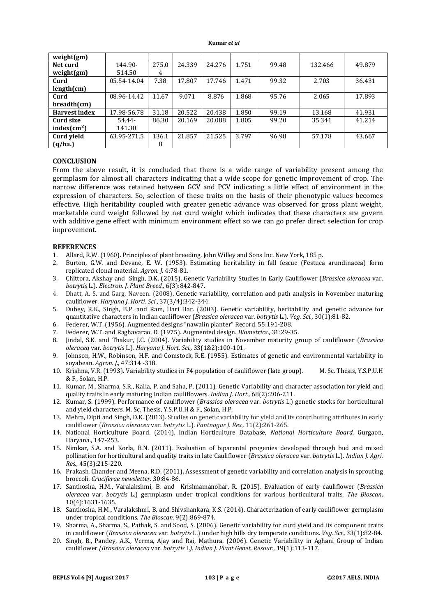| weight(gm)              |             |       |        |        |       |       |         |        |
|-------------------------|-------------|-------|--------|--------|-------|-------|---------|--------|
| Net curd                | 144.90-     | 275.0 | 24.339 | 24.276 | 1.751 | 99.48 | 132.466 | 49.879 |
| weight(gm)              | 514.50      | 4     |        |        |       |       |         |        |
| Curd                    | 05.54-14.04 | 7.38  | 17.807 | 17.746 | 1.471 | 99.32 | 2.703   | 36.431 |
| length(cm)              |             |       |        |        |       |       |         |        |
| Curd                    | 08.96-14.42 | 11.67 | 9.071  | 8.876  | 1.868 | 95.76 | 2.065   | 17.893 |
| breadth(cm)             |             |       |        |        |       |       |         |        |
| <b>Harvest index</b>    | 17.98-56.78 | 31.18 | 20.522 | 20.438 | 1.850 | 99.19 | 13.168  | 41.931 |
| Curd size               | 54.44-      | 86.30 | 20.169 | 20.088 | 1.805 | 99.20 | 35.341  | 41.214 |
| index(cm <sup>2</sup> ) | 141.38      |       |        |        |       |       |         |        |
| <b>Curd yield</b>       | 63.95-271.5 | 136.1 | 21.857 | 21.525 | 3.797 | 96.98 | 57.178  | 43.667 |
| (q/ha.)                 |             | 8     |        |        |       |       |         |        |

# **CONCLUSION**

From the above result, it is concluded that there is a wide range of variability present among the germplasm for almost all characters indicating that a wide scope for genetic improvement of crop. The narrow difference was retained between GCV and PCV indicating a little effect of environment in the expression of characters. So, selection of these traits on the basis of their phenotypic values becomes effective. High heritability coupled with greater genetic advance was observed for gross plant weight, marketable curd weight followed by net curd weight which indicates that these characters are govern with additive gene effect with minimum environment effect so we can go prefer direct selection for crop improvement.

## **REFERENCES**

- 1. Allard, R.W. (1960). Principles of plant breeding. John Willey and Sons Inc. New York, 185 p.
- 2. Burton, G.W. and Devane, E. W. (1953). Estimating heritability in fall fescue (Festuca arundinacea) form replicated clonal material. *Agron. J.* 4:78-81.
- 3. Chittora, Akshay and Singh, D.K. (2015). Genetic Variability Studies in Early Cauliflower (*Brassica oleracea* var. *botrytis* L.). *Electron. J. Plant Breed.,* 6(3):842-847.
- 4. Dhatt, A. S. and Garg, Naveen. (2008). Genetic variability, correlation and path analysis in November maturing cauliflower. *Haryana J. Horti. Sci.*, 37(3/4):342-344.
- 5. Dubey, R.K., Singh, B.P. and Ram, Hari Har. (2003). Genetic variability, heritability and genetic advance for quantitative characters in Indian cauliflower (*Brassica oleracea* var*. botrytis* L.). *Veg. Sci.,* 30(1):81-82.
- 6. Federer, W.T. (1956). Augmented designs "nawalin planter" Record. 55:191-208.
- 7. Federer, W.T. and Raghavarao, D. (1975). Augmented design. *Biometrics*., 31:29-35.
- 8. Jindal, S.K. and Thakur, J.C. (2004). Variability studies in November maturity group of cauliflower (*Brassica oleracea* var. *botrytis* L.). *Haryana J. Hort. Sci.,* 33(1&2):100-101.
- 9. Johnson, H.W., Robinson, H.F. and Comstock, R.E. (1955). Estimates of genetic and environmental variability in soyabean. *Agron. J*., 47:314 -318.
- 10. Krishna, V.R. (1993). Variability studies in F4 population of cauliflower (late group). M. Sc. Thesis, Y.S.P.U.H & F., Solan, H.P.
- 11. Kumar, M., Sharma, S.R., Kalia, P. and Saha, P. (2011). Genetic Variability and character association for yield and quality traits in early maturing Indian cauliflowers. *Indian J. Hort.,* 68(2):206-211.
- 12. Kumar, S. (1999). Performance of cauliflower (*Brassica oleracea* var. *botrytis* L.) genetic stocks for horticultural and yield characters. M. Sc. Thesis, Y.S.P.U.H & F., Solan, H.P.
- 13. Mehra, Dipti and Singh, D.K. (2013). Studies on genetic variability for yield and its contributing attributes in early cauliflower (*Brassica oleracea* var. *botrytis* L.). *Pantnagar J. Res.,* 11(2):261-265.
- 14. National Horticulture Board. (2014). Indian Horticulture Database, *National Horticulture Board,* Gurgaon, Haryana., 147-253.
- 15. Nimkar, S.A. and Korla, B.N. (2011). Evaluation of biparental progenies developed through bud and mixed pollination for horticultural and quality traits in late Cauliflower (*Brassica oleracea* var. *botrytis* L.). *Indian J. Agri. Res.,* 45(3):215-220.
- 16. Prakash, Chander and Meena, R.D. (2011). Assessment of genetic variability and correlation analysis in sprouting broccoli. *Cruciferae newsletter*. 30:84-86.
- 17. Santhosha, H.M., Varalakshmi, B. and Krishnamanohar, R. (2015). Evaluation of early cauliflower (*Brassica oleracea* var. *botrytis* L.) germplasm under tropical conditions for various horticultural traits. *The Bioscan*. 10(4):1631-1635.
- 18. Santhosha, H.M., Varalakshmi, B. and Shivshankara, K.S. (2014). Characterization of early cauliflower germplasm under tropical conditions*. The Bioscan*. 9(2):869-874.
- 19. Sharma, A., Sharma, S., Pathak, S. and Sood, S. (2006). Genetic variability for curd yield and its component traits in cauliflower (*Brassica oleracea* var*. botrytis* L.) under high hills dry temperate conditions. *Veg. Sci*., 33(1):82-84.
- 20. Singh, B., Pandey, A.K., Verma, Ajay and Rai, Mathura. (2006). Genetic Variability in Aghani Group of Indian cauliflower *(Brassica oleracea* var. *botrytis* L*). Indian J. Plant Genet. Resour.,* 19(1):113-117.